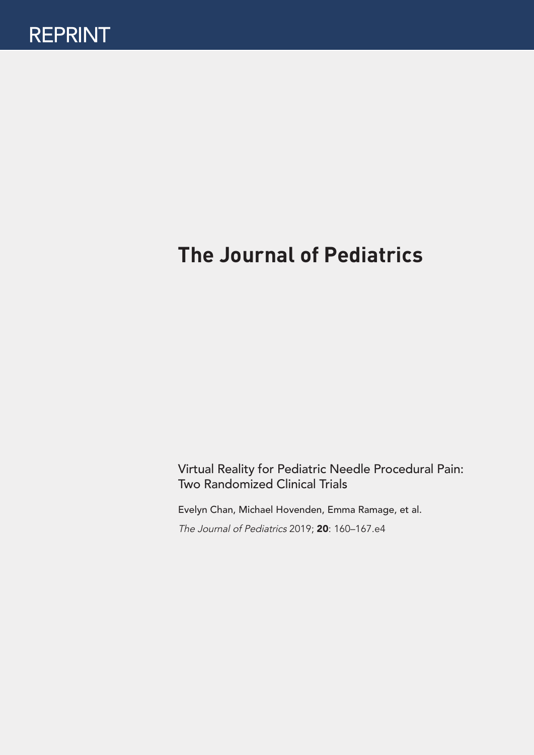# **The Journal of Pediatrics**

Virtual Reality for Pediatric Needle Procedural Pain: Two Randomized Clinical Trials

Evelyn Chan, Michael Hovenden, Emma Ramage, et al.

The Journal of Pediatrics 2019; 20: 160–167.e4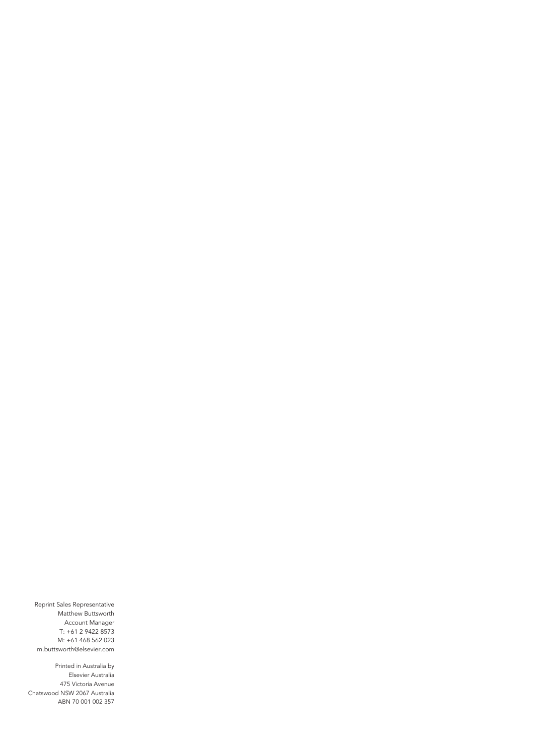Reprint Sales Representative Matthew Buttsworth Account Manager T: +61 2 9422 8573 M: +61 468 562 023 [m.buttsworth@elsevier.com](mailto:m.buttsworth@elsevier.com)

Printed in Australia by Elsevier Australia 475 Victoria Avenue Chatswood NSW 2067 Australia ABN 70 001 002 357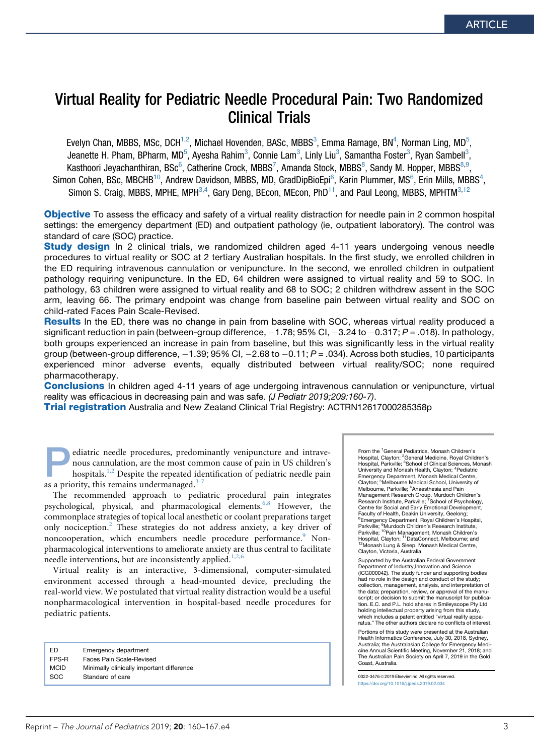## Virtual Reality for Pediatric Needle Procedural Pain: Two Randomized Clinical Trials

Evelyn Chan, MBBS, MSc, DCH $^{1,2}$ , Michael Hovenden, BASc, MBBS $^3$ , Emma Ramage, BN $^4$ , Norman Ling, MD $^5$ , Jeanette H. Pham, BPharm, MD<sup>5</sup>, Ayesha Rahim<sup>3</sup>, Connie Lam<sup>3</sup>, Linly Liu<sup>3</sup>, Samantha Foster<sup>3</sup>, Ryan Sambell<sup>3</sup>, Kasthoori Jeyachanthiran, BSc $^6$ , Catherine Crock, MBBS<sup>7</sup>, Amanda Stock, MBBS $^8$ , Sandy M. Hopper, MBBS $^{8,9}$ , Simon Cohen, BSc, MBCHB<sup>10</sup>, Andrew Davidson, MBBS, MD, GradDipBioEpi<sup>6</sup>, Karin Plummer, MS<sup>6</sup>, Erin Mills, MBBS<sup>4</sup>, Simon S. Craig, MBBS, MPHE, MPH $^{3,4}$ , Gary Deng, BEcon, MEcon, PhD $^{11}$ , and Paul Leong, MBBS, MPHTM $^{3,12}$ 

**Objective** To assess the efficacy and safety of a virtual reality distraction for needle pain in 2 common hospital settings: the emergency department (ED) and outpatient pathology (ie, outpatient laboratory). The control was standard of care (SOC) practice.

Study design In 2 clinical trials, we randomized children aged 4-11 years undergoing venous needle procedures to virtual reality or SOC at 2 tertiary Australian hospitals. In the first study, we enrolled children in the ED requiring intravenous cannulation or venipuncture. In the second, we enrolled children in outpatient pathology requiring venipuncture. In the ED, 64 children were assigned to virtual reality and 59 to SOC. In pathology, 63 children were assigned to virtual reality and 68 to SOC; 2 children withdrew assent in the SOC arm, leaving 66. The primary endpoint was change from baseline pain between virtual reality and SOC on child-rated Faces Pain Scale-Revised.

**Results** In the ED, there was no change in pain from baseline with SOC, whereas virtual reality produced a significant reduction in pain (between-group difference,  $-1.78$ ; 95% CI,  $-3.24$  to  $-0.317$ ;  $P = .018$ ). In pathology, both groups experienced an increase in pain from baseline, but this was significantly less in the virtual reality group (between-group difference,  $-1.39$ ; 95% CI,  $-2.68$  to  $-0.11$ ;  $P = .034$ ). Across both studies, 10 participants experienced minor adverse events, equally distributed between virtual reality/SOC; none required pharmacotherapy.

**Conclusions** In children aged 4-11 years of age undergoing intravenous cannulation or venipuncture, virtual reality was efficacious in decreasing pain and was safe. *(J Pediatr 2019;209:160-7)*.

**Trial registration** Australia and New Zealand Clinical Trial Registry: ACTRN12617000285358p

**Pediatric needle procedures, predominantly venipuncture and intrave-**<br>hospitals.<sup>1,2</sup> Despite the repeated identification of pediatric needle pain<br>as a priority, this remains undermanaged <sup>3-7</sup> nous cannulation, are the most common cause of pain in US children's as a priority, this remains undermanaged. $3-7$ 

The recommended approach to pediatric procedural pain integrates psychological, physical, and pharmacological elements.<sup>6,8</sup> However, the commonplace strategies of topical local anesthetic or coolant preparations target only nociception.<sup>2</sup> These strategies do not address anxiety, a key driver of noncooperation, which encumbers needle procedure performance.<sup>9</sup> Nonpharmacological interventions to ameliorate anxiety are thus central to facilitate needle interventions, but are inconsistently applied.<sup>1,2,6</sup>

Virtual reality is an interactive, 3-dimensional, computer-simulated environment accessed through a head-mounted device, precluding the real-world view. We postulated that virtual reality distraction would be a useful nonpharmacological intervention in hospital-based needle procedures for pediatric patients.

| Emergency department                      |
|-------------------------------------------|
| Faces Pain Scale-Revised                  |
| Minimally clinically important difference |
| Standard of care                          |
|                                           |

From the <sup>1</sup>General Pediatrics, Monash Children's Hospital, Clayton; <sup>2</sup>General Medicine, Royal Children's<br>Hospital, Parkville; <sup>3</sup>School of Clinical Sciences, Monash University and Monash Health, Clayton; <sup>4</sup> Pediatric Emergency Department, Monash Medical Centre, Clayton; <sup>5</sup>Melbourne Medical School, University of Melbourne, Parkville; <sup>6</sup>Anaesthesia and Pain Management Research Group, Murdoch Children's<br>Research Institute, Parkville; <sup>7</sup>School of Psychology, Centre for Social and Early Emotional Development, Faculty of Health, Deakin University, Geelong; <sup>8</sup> Emergency Department, Royal Children's Hospital,<br>Parkville; <sup>9</sup>Murdoch Children's Research Institute, r anyme, muruoch crinuren is riesearch institute,<br>Parkville; <sup>10</sup>Pain Management, Monash Children's<br>Hospital, Clayton; <sup>11</sup>DataConnect, Melbourne; and <sup>12</sup>Monash Lung & Sleep, Monash Medical Centre, Clayton, Victoria, Australia

Supported by the Australian Federal Government Department of Industry,Innovation and Science (ICG000042). The study funder and supporting bodies had no role in the design and conduct of the study: collection, management, analysis, and interpretation of the data; preparation, review, or approval of the manuscript: or decision to submit the manuscript for publication. E.C. and P.L. hold shares in Smileyscope Pty Ltd holding intellectual property arising from this study, which includes a patent entitled "virtual reality apparatus." The other authors declare no conflicts of interest.

Portions of this study were presented at the Australian Health Informatics Conference, July 30, 2018, Sydney, Australia; the Australasian College for Emergency Medicine Annual Scientific Meeting, November 21, 2018; and The Australian Pain Society on April 7, 2019 in the Gold Coast, Australia.

0022-3476 @ 2019 Elsevier Inc. All rights reserved. <https://doi.org/10.1016/j.jpeds.2019.02.034>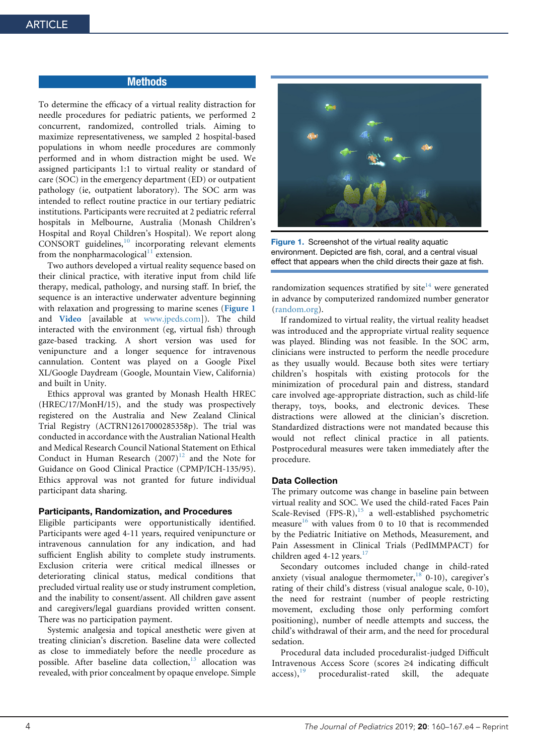#### **Methods**

To determine the efficacy of a virtual reality distraction for needle procedures for pediatric patients, we performed 2 concurrent, randomized, controlled trials. Aiming to maximize representativeness, we sampled 2 hospital-based populations in whom needle procedures are commonly performed and in whom distraction might be used. We assigned participants 1:1 to virtual reality or standard of care (SOC) in the emergency department (ED) or outpatient pathology (ie, outpatient laboratory). The SOC arm was intended to reflect routine practice in our tertiary pediatric institutions. Participants were recruited at 2 pediatric referral hospitals in Melbourne, Australia (Monash Children's Hospital and Royal Children's Hospital). We report along  $CONSORT$  guidelines, $10$  incorporating relevant elements from the nonpharmacological $\frac{1}{1}$  extension.

Two authors developed a virtual reality sequence based on their clinical practice, with iterative input from child life therapy, medical, pathology, and nursing staff. In brief, the sequence is an interactive underwater adventure beginning with relaxation and progressing to marine scenes (Figure 1 and Video [available at [www.jpeds.com\]](http://www.jpeds.com/)). The child interacted with the environment (eg, virtual fish) through gaze-based tracking. A short version was used for venipuncture and a longer sequence for intravenous cannulation. Content was played on a Google Pixel XL/Google Daydream (Google, Mountain View, California) and built in Unity.

Ethics approval was granted by Monash Health HREC (HREC/17/MonH/15), and the study was prospectively registered on the Australia and New Zealand Clinical Trial Registry (ACTRN12617000285358p). The trial was conducted in accordance with the Australian National Health and Medical Research Council National Statement on Ethical Conduct in Human Research  $(2007)^{12}$  and the Note for Guidance on Good Clinical Practice (CPMP/ICH-135/95). Ethics approval was not granted for future individual participant data sharing.

#### Participants, Randomization, and Procedures

Eligible participants were opportunistically identified. Participants were aged 4-11 years, required venipuncture or intravenous cannulation for any indication, and had sufficient English ability to complete study instruments. Exclusion criteria were critical medical illnesses or deteriorating clinical status, medical conditions that precluded virtual reality use or study instrument completion, and the inability to consent/assent. All children gave assent and caregivers/legal guardians provided written consent. There was no participation payment.

Systemic analgesia and topical anesthetic were given at treating clinician's discretion. Baseline data were collected as close to immediately before the needle procedure as possible. After baseline data collection,<sup>13</sup> allocation was revealed, with prior concealment by opaque envelope. Simple



Figure 1. Screenshot of the virtual reality aquatic environment. Depicted are fish, coral, and a central visual effect that appears when the child directs their gaze at fish.

randomization sequences stratified by  $site^{14}$  were generated in advance by computerized randomized number generator (random.org).

If randomized to virtual reality, the virtual reality headset was introduced and the appropriate virtual reality sequence was played. Blinding was not feasible. In the SOC arm, clinicians were instructed to perform the needle procedure as they usually would. Because both sites were tertiary children's hospitals with existing protocols for the minimization of procedural pain and distress, standard care involved age-appropriate distraction, such as child-life therapy, toys, books, and electronic devices. These distractions were allowed at the clinician's discretion. Standardized distractions were not mandated because this would not reflect clinical practice in all patients. Postprocedural measures were taken immediately after the procedure.

#### Data Collection

The primary outcome was change in baseline pain between virtual reality and SOC. We used the child-rated Faces Pain Scale-Revised  $(FPS-R)$ ,<sup>15</sup> a well-established psychometric measure<sup>16</sup> with values from 0 to 10 that is recommended by the Pediatric Initiative on Methods, Measurement, and Pain Assessment in Clinical Trials (PedIMMPACT) for children aged 4-12 years. $17$ 

Secondary outcomes included change in child-rated anxiety (visual analogue thermometer,  $18$  0-10), caregiver's rating of their child's distress (visual analogue scale, 0-10), the need for restraint (number of people restricting movement, excluding those only performing comfort positioning), number of needle attempts and success, the child's withdrawal of their arm, and the need for procedural sedation.

Procedural data included proceduralist-judged Difficult Intravenous Access Score (scores  $\geq 4$  indicating difficult access).<sup>19</sup> proceduralist-rated skill, the adequate proceduralist-rated skill, the adequate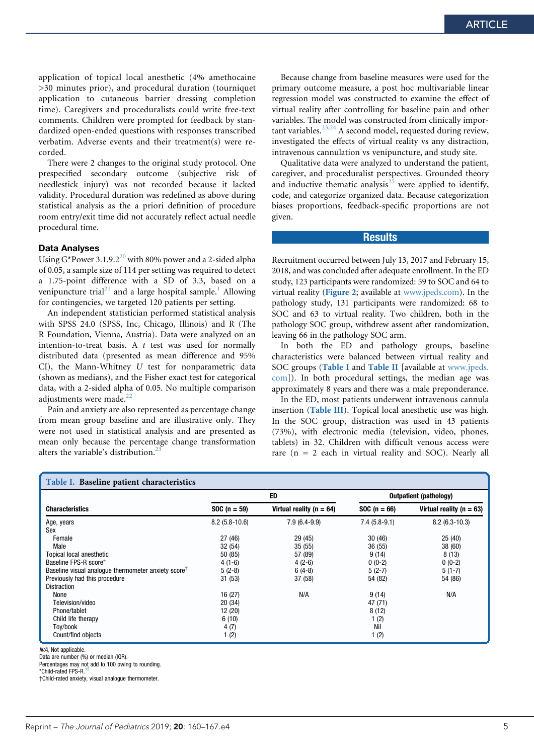application of topical local anesthetic (4% amethocaine >30 minutes prior), and procedural duration (tourniquet application to cutaneous barrier dressing completion time). Caregivers and proceduralists could write free-text comments. Children were prompted for feedback by standardized open-ended questions with responses transcribed verbatim. Adverse events and their treatment(s) were recorded.

There were 2 changes to the original study protocol. One prespecified secondary outcome (subjective risk of needlestick injury) was not recorded because it lacked validity. Procedural duration was redefined as above during statistical analysis as the a priori definition of procedure room entry/exit time did not accurately reflect actual needle procedural time.

#### Data Analyses

Using  $G^*$ Power 3.1.9.2<sup>20</sup> with 80% power and a 2-sided alpha of 0.05, a sample size of 114 per setting was required to detect a 1.75-point difference with a SD of 3.3, based on a venipuncture trial<sup>21</sup> and a large hospital sample.<sup>1</sup> Allowing for contingencies, we targeted 120 patients per setting.

An independent statistician performed statistical analysis with SPSS 24.0 (SPSS, Inc, Chicago, Illinois) and R (The R Foundation, Vienna, Austria). Data were analyzed on an intention-to-treat basis. A  $t$  test was used for normally distributed data (presented as mean difference and 95% CI), the Mann-Whitney U test for nonparametric data (shown as medians), and the Fisher exact test for categorical data, with a 2-sided alpha of 0.05. No multiple comparison adjustments were made.<sup>22</sup>

Pain and anxiety are also represented as percentage change from mean group baseline and are illustrative only. They were not used in statistical analysis and are presented as mean only because the percentage change transformation alters the variable's distribution.<sup>2</sup>

Because change from baseline measures were used for the primary outcome measure, a post hoc multivariable linear regression model was constructed to examine the effect of virtual reality after controlling for baseline pain and other variables. The model was constructed from clinically important variables. $^{23,24}$  A second model, requested during review, investigated the effects of virtual reality vs any distraction, intravenous cannulation vs venipuncture, and study site.

Qualitative data were analyzed to understand the patient, caregiver, and proceduralist perspectives. Grounded theory and inductive thematic analysis<sup>25</sup> were applied to identify, code, and categorize organized data. Because categorization biases proportions, feedback-specific proportions are not given.

#### **Results**

Recruitment occurred between July 13, 2017 and February 15, 2018, and was concluded after adequate enrollment. In the ED study, 123 participants were randomized: 59 to SOC and 64 to virtual reality (Figure 2; available at [www.jpeds.com\)](http://www.jpeds.com/). In the pathology study, 131 participants were randomized: 68 to SOC and 63 to virtual reality. Two children, both in the pathology SOC group, withdrew assent after randomization, leaving 66 in the pathology SOC arm.

In both the ED and pathology groups, baseline characteristics were balanced between virtual reality and SOC groups (Table I and Table II [available at www.jpeds. com]). In both procedural settings, the median age was approximately 8 years and there was a male preponderance.

In the ED, most patients underwent intravenous cannula insertion (Table III). Topical local anesthetic use was high. In the SOC group, distraction was used in 43 patients (73%), with electronic media (television, video, phones, tablets) in 32. Children with difficult venous access were rare  $(n = 2 \text{ each in virtual reality and SOC})$ . Nearly all

| Table I. Baseline patient characteristics                       |                 |                              |                |                               |
|-----------------------------------------------------------------|-----------------|------------------------------|----------------|-------------------------------|
|                                                                 |                 | ED                           |                | <b>Outpatient (pathology)</b> |
| <b>Characteristics</b>                                          | $SOC (n = 59)$  | Virtual reality ( $n = 64$ ) | $SOC(n = 66)$  | Virtual reality ( $n = 63$ )  |
| Age, years                                                      | $8.2(5.8-10.6)$ | $7.9(6.4-9.9)$               | $7.4(5.8-9.1)$ | $8.2(6.3-10.3)$               |
| Sex                                                             |                 |                              |                |                               |
| Female                                                          | 27(46)          | 29 (45)                      | 30(46)         | 25(40)                        |
| Male                                                            | 32(54)          | 35(55)                       | 36(55)         | 38 (60)                       |
| Topical local anesthetic                                        | 50 (85)         | 57 (89)                      | 9(14)          | 8(13)                         |
| Baseline FPS-R score*                                           | $4(1-6)$        | $4(2-6)$                     | $0(0-2)$       | $0(0-2)$                      |
| Baseline visual analogue thermometer anxiety score <sup>t</sup> | $5(2-8)$        | $6(4-8)$                     | $5(2-7)$       | $5(1-7)$                      |
| Previously had this procedure                                   | 31(53)          | 37(58)                       | 54 (82)        | 54 (86)                       |
| <b>Distraction</b>                                              |                 |                              |                |                               |
| None                                                            | 16 (27)         | N/A                          | 9(14)          | N/A                           |
| Television/video                                                | 20(34)          |                              | 47 (71)        |                               |
| Phone/tablet                                                    | 12 (20)         |                              | 8(12)          |                               |
| Child life therapy                                              | 6(10)           |                              | 1(2)           |                               |
| Toy/book                                                        | 4(7)            |                              | Nil            |                               |
| Count/find objects                                              | 1(2)            |                              | 1(2)           |                               |

N/A, Not applicable.

Data are number (%) or median (IQR).

Percentages may not add to 100 owing to rounding.

\*Child-rated FPS-R.<sup>15</sup>

†Child-rated anxiety, visual analogue thermometer.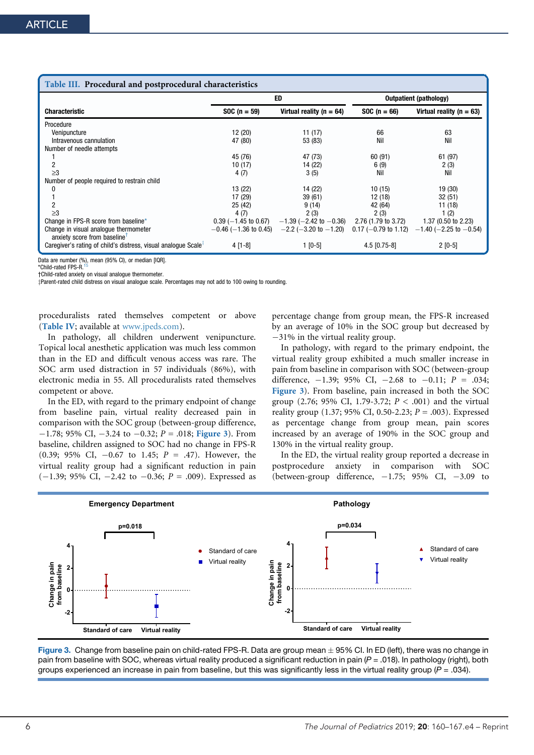| Table III. Procedural and postprocedural characteristics                          |                              |                                                 |                        |                               |
|-----------------------------------------------------------------------------------|------------------------------|-------------------------------------------------|------------------------|-------------------------------|
|                                                                                   |                              | ED                                              | Outpatient (pathology) |                               |
| <b>Characteristic</b>                                                             | $SOC(n = 59)$                | Virtual reality ( $n = 64$ )                    | $SOC(n = 66)$          | Virtual reality ( $n = 63$ )  |
| Procedure                                                                         |                              |                                                 |                        |                               |
| Venipuncture                                                                      | 12 (20)                      | 11 (17)                                         | 66                     | 63                            |
| Intravenous cannulation                                                           | 47 (80)                      | 53 (83)                                         | Nil                    | Nil                           |
| Number of needle attempts                                                         |                              |                                                 |                        |                               |
|                                                                                   | 45 (76)                      | 47 (73)                                         | 60(91)                 | 61 (97)                       |
|                                                                                   | 10(17)                       | 14 (22)                                         | 6(9)                   | 2(3)                          |
| >3                                                                                | 4 (7)                        | 3(5)                                            | Nil                    | Nil                           |
| Number of people required to restrain child                                       |                              |                                                 |                        |                               |
|                                                                                   | 13 (22)                      | 14 (22)                                         | 10(15)                 | 19 (30)                       |
|                                                                                   | 17 (29)                      | 39(61)                                          | 12 (18)                | 32(51)                        |
|                                                                                   | 25 (42)                      | 9(14)                                           | 42 (64)                | 11 (18)                       |
| >3                                                                                | 4 (7)                        | 2(3)                                            | 2(3)                   | 1(2)                          |
| Change in FPS-R score from baseline*                                              | $0.39$ ( $-1.45$ to $0.67$ ) | $-1.39$ ( $-2.42$ to $-0.36$ )                  | 2.76 (1.79 to 3.72)    | $1.37(0.50 \text{ to } 2.23)$ |
| Change in visual analogue thermometer<br>anxiety score from baseline <sup>T</sup> |                              | $-0.46$ (-1.36 to 0.45) $-2.2$ (-3.20 to -1.20) | $0.17$ (-0.79 to 1.12) | $-1.40$ (-2.25 to -0.54)      |
| Caregiver's rating of child's distress, visual analogue Scale <sup>+</sup>        | 4 [1-8]                      | $1$ [0-5]                                       | $4.5$ [0.75-8]         | $2$ [0-5]                     |

Data are number (%), mean (95% CI), or median [IQR].

\*Child-rated FPS-R.

†Child-rated anxiety on visual analogue thermometer.

zParent-rated child distress on visual analogue scale. Percentages may not add to 100 owing to rounding.

proceduralists rated themselves competent or above (Table IV; available at [www.jpeds.com\)](http://www.jpeds.com/).

In pathology, all children underwent venipuncture. Topical local anesthetic application was much less common than in the ED and difficult venous access was rare. The SOC arm used distraction in 57 individuals (86%), with electronic media in 55. All proceduralists rated themselves competent or above.

In the ED, with regard to the primary endpoint of change from baseline pain, virtual reality decreased pain in comparison with the SOC group (between-group difference,  $-1.78$ ; 95% CI,  $-3.24$  to  $-0.32$ ;  $P = .018$ ; Figure 3). From baseline, children assigned to SOC had no change in FPS-R  $(0.39; 95\% \text{ CI}, -0.67 \text{ to } 1.45; P = .47)$ . However, the virtual reality group had a significant reduction in pain  $(-1.39; 95\% \text{ CI}, -2.42 \text{ to } -0.36; P = .009)$ . Expressed as percentage change from group mean, the FPS-R increased by an average of 10% in the SOC group but decreased by  $-31\%$  in the virtual reality group.

In pathology, with regard to the primary endpoint, the virtual reality group exhibited a much smaller increase in pain from baseline in comparison with SOC (between-group difference,  $-1.39$ ; 95% CI,  $-2.68$  to  $-0.11$ ;  $P = .034$ ; Figure 3). From baseline, pain increased in both the SOC group (2.76; 95% CI, 1.79-3.72;  $P < .001$ ) and the virtual reality group (1.37; 95% CI, 0.50-2.23;  $P = .003$ ). Expressed as percentage change from group mean, pain scores increased by an average of 190% in the SOC group and 130% in the virtual reality group.

In the ED, the virtual reality group reported a decrease in postprocedure anxiety in comparison with SOC (between-group difference,  $-1.75$ ; 95% CI,  $-3.09$  to



Figure 3. Change from baseline pain on child-rated FPS-R. Data are group mean  $\pm$  95% CI. In ED (left), there was no change in pain from baseline with SOC, whereas virtual reality produced a significant reduction in pain (*P* = .018). In pathology (right), both groups experienced an increase in pain from baseline, but this was significantly less in the virtual reality group (*P* = .034).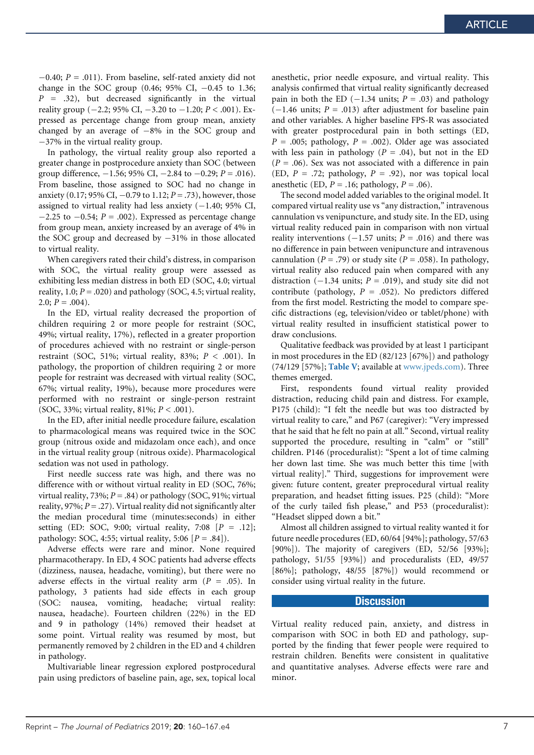$-0.40; P = .011$ . From baseline, self-rated anxiety did not change in the SOC group  $(0.46; 95\% \text{ CI}, -0.45 \text{ to } 1.36;$  $P = .32$ ), but decreased significantly in the virtual reality group ( $-2.2$ ; 95% CI,  $-3.20$  to  $-1.20$ ;  $P < .001$ ). Expressed as percentage change from group mean, anxiety changed by an average of  $-8\%$  in the SOC group and  $-37\%$  in the virtual reality group.

In pathology, the virtual reality group also reported a greater change in postprocedure anxiety than SOC (between group difference,  $-1.56$ ; 95% CI,  $-2.84$  to  $-0.29$ ;  $P = .016$ ). From baseline, those assigned to SOC had no change in anxiety (0.17; 95% CI,  $-0.79$  to 1.12;  $P = .73$ ), however, those assigned to virtual reality had less anxiety  $(-1.40; 95\% \text{ CI},$  $-2.25$  to  $-0.54$ ;  $P = .002$ ). Expressed as percentage change from group mean, anxiety increased by an average of 4% in the SOC group and decreased by  $-31\%$  in those allocated to virtual reality.

When caregivers rated their child's distress, in comparison with SOC, the virtual reality group were assessed as exhibiting less median distress in both ED (SOC, 4.0; virtual reality, 1.0;  $P = .020$ ) and pathology (SOC, 4.5; virtual reality, 2.0;  $P = .004$ ).

In the ED, virtual reality decreased the proportion of children requiring 2 or more people for restraint (SOC, 49%; virtual reality, 17%), reflected in a greater proportion of procedures achieved with no restraint or single-person restraint (SOC, 51%; virtual reality, 83%;  $P < .001$ ). In pathology, the proportion of children requiring 2 or more people for restraint was decreased with virtual reality (SOC, 67%; virtual reality, 19%), because more procedures were performed with no restraint or single-person restraint (SOC, 33%; virtual reality, 81%;  $P < .001$ ).

In the ED, after initial needle procedure failure, escalation to pharmacological means was required twice in the SOC group (nitrous oxide and midazolam once each), and once in the virtual reality group (nitrous oxide). Pharmacological sedation was not used in pathology.

First needle success rate was high, and there was no difference with or without virtual reality in ED (SOC, 76%; virtual reality, 73%;  $P = .84$ ) or pathology (SOC, 91%; virtual reality, 97%;  $P = .27$ ). Virtual reality did not significantly alter the median procedural time (minutes:seconds) in either setting (ED: SOC, 9:00; virtual reality, 7:08  $[P = .12]$ ; pathology: SOC, 4:55; virtual reality, 5:06  $[P=.84]$ ).

Adverse effects were rare and minor. None required pharmacotherapy. In ED, 4 SOC patients had adverse effects (dizziness, nausea, headache, vomiting), but there were no adverse effects in the virtual reality arm ( $P = .05$ ). In pathology, 3 patients had side effects in each group (SOC: nausea, vomiting, headache; virtual reality: nausea, headache). Fourteen children (22%) in the ED and 9 in pathology (14%) removed their headset at some point. Virtual reality was resumed by most, but permanently removed by 2 children in the ED and 4 children in pathology.

Multivariable linear regression explored postprocedural pain using predictors of baseline pain, age, sex, topical local

anesthetic, prior needle exposure, and virtual reality. This analysis confirmed that virtual reality significantly decreased pain in both the ED  $(-1.34 \text{ units}; P = .03)$  and pathology  $(-1.46 \text{ units}; P = .013)$  after adjustment for baseline pain and other variables. A higher baseline FPS-R was associated with greater postprocedural pain in both settings (ED,  $P = .005$ ; pathology,  $P = .002$ ). Older age was associated with less pain in pathology ( $P = .04$ ), but not in the ED  $(P = .06)$ . Sex was not associated with a difference in pain (ED,  $P = .72$ ; pathology,  $P = .92$ ), nor was topical local anesthetic (ED,  $P = .16$ ; pathology,  $P = .06$ ).

The second model added variables to the original model. It compared virtual reality use vs "any distraction," intravenous cannulation vs venipuncture, and study site. In the ED, using virtual reality reduced pain in comparison with non virtual reality interventions  $(-1.57 \text{ units}; P = .016)$  and there was no difference in pain between venipuncture and intravenous cannulation ( $P = .79$ ) or study site ( $P = .058$ ). In pathology, virtual reality also reduced pain when compared with any distraction (-1.34 units;  $P = .019$ ), and study site did not contribute (pathology,  $P = .052$ ). No predictors differed from the first model. Restricting the model to compare specific distractions (eg, television/video or tablet/phone) with virtual reality resulted in insufficient statistical power to draw conclusions.

Qualitative feedback was provided by at least 1 participant in most procedures in the ED (82/123 [67%]) and pathology (74/129 [57%]; Table V; available at [www.jpeds.com](http://www.jpeds.com/)). Three themes emerged.

First, respondents found virtual reality provided distraction, reducing child pain and distress. For example, P175 (child): "I felt the needle but was too distracted by virtual reality to care," and P67 (caregiver): "Very impressed that he said that he felt no pain at all." Second, virtual reality supported the procedure, resulting in "calm" or "still" children. P146 (proceduralist): "Spent a lot of time calming her down last time. She was much better this time [with virtual reality]." Third, suggestions for improvement were given: future content, greater preprocedural virtual reality preparation, and headset fitting issues. P25 (child): "More of the curly tailed fish please," and P53 (proceduralist): "Headset slipped down a bit."

Almost all children assigned to virtual reality wanted it for future needle procedures (ED, 60/64 [94%]; pathology, 57/63 [90%]). The majority of caregivers (ED, 52/56 [93%]; pathology, 51/55 [93%]) and proceduralists (ED, 49/57 [86%]; pathology, 48/55 [87%]) would recommend or consider using virtual reality in the future.

#### **Discussion**

Virtual reality reduced pain, anxiety, and distress in comparison with SOC in both ED and pathology, supported by the finding that fewer people were required to restrain children. Benefits were consistent in qualitative and quantitative analyses. Adverse effects were rare and minor.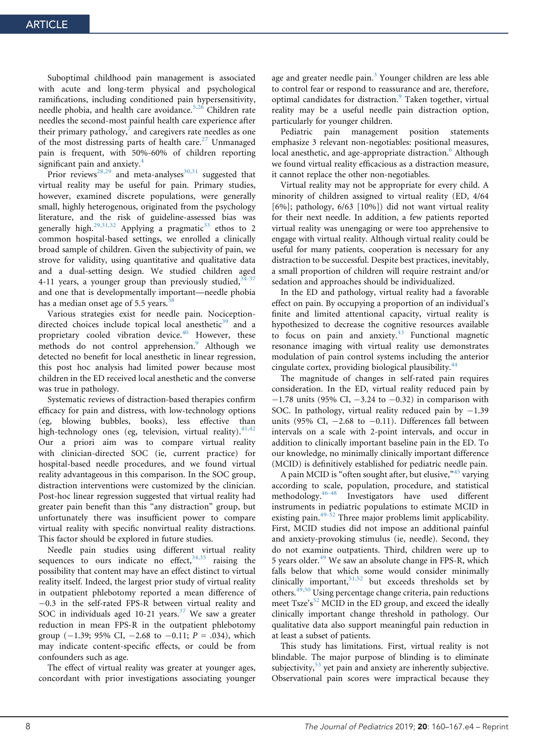Suboptimal childhood pain management is associated with acute and long-term physical and psychological ramifications, including conditioned pain hypersensitivity, needle phobia, and health care avoidance.5,26 Children rate needles the second-most painful health care experience after their primary pathology, $7$  and caregivers rate needles as one of the most distressing parts of health care.<sup>27</sup> Unmanaged pain is frequent, with 50%-60% of children reporting significant pain and anxiety.<sup>4</sup>

Prior reviews<sup>28,29</sup> and meta-analyses<sup>30,31</sup> suggested that virtual reality may be useful for pain. Primary studies, however, examined discrete populations, were generally small, highly heterogenous, originated from the psychology literature, and the risk of guideline-assessed bias was generally high.<sup>29,31,32</sup> Applying a pragmatic<sup>33</sup> ethos to 2 common hospital-based settings, we enrolled a clinically broad sample of children. Given the subjectivity of pain, we strove for validity, using quantitative and qualitative data and a dual-setting design. We studied children aged 4-11 years, a younger group than previously studied,  $34-37$ and one that is developmentally important—needle phobia has a median onset age of 5.5 years.<sup>38</sup>

Various strategies exist for needle pain. Nociceptiondirected choices include topical local anesthetic<sup>39</sup> and a proprietary cooled vibration device.<sup>40</sup> However, these methods do not control apprehension.<sup>9</sup> Although we detected no benefit for local anesthetic in linear regression, this post hoc analysis had limited power because most children in the ED received local anesthetic and the converse was true in pathology.

Systematic reviews of distraction-based therapies confirm efficacy for pain and distress, with low-technology options (eg, blowing bubbles, books), less effective than high-technology ones (eg, television, virtual reality).  $41,42$ Our a priori aim was to compare virtual reality with clinician-directed SOC (ie, current practice) for hospital-based needle procedures, and we found virtual reality advantageous in this comparison. In the SOC group, distraction interventions were customized by the clinician. Post-hoc linear regression suggested that virtual reality had greater pain benefit than this "any distraction" group, but unfortunately there was insufficient power to compare virtual reality with specific nonvirtual reality distractions. This factor should be explored in future studies.

Needle pain studies using different virtual reality sequences to ours indicate no effect,  $34,35$  raising the possibility that content may have an effect distinct to virtual reality itself. Indeed, the largest prior study of virtual reality in outpatient phlebotomy reported a mean difference of  $-0.3$  in the self-rated FPS-R between virtual reality and SOC in individuals aged 10-21 years.<sup>37</sup> We saw a greater reduction in mean FPS-R in the outpatient phlebotomy group  $(-1.39; 95\% \text{ CI}, -2.68 \text{ to } -0.11; P = .034)$ , which may indicate content-specific effects, or could be from confounders such as age.

The effect of virtual reality was greater at younger ages, concordant with prior investigations associating younger

age and greater needle pain. $3$  Younger children are less able to control fear or respond to reassurance and are, therefore, optimal candidates for distraction.<sup>9</sup> Taken together, virtual reality may be a useful needle pain distraction option, particularly for younger children.

Pediatric pain management position statements emphasize 3 relevant non-negotiables: positional measures, local anesthetic, and age-appropriate distraction.<sup>6</sup> Although we found virtual reality efficacious as a distraction measure, it cannot replace the other non-negotiables.

Virtual reality may not be appropriate for every child. A minority of children assigned to virtual reality (ED, 4/64 [6%]; pathology, 6/63 [10%]) did not want virtual reality for their next needle. In addition, a few patients reported virtual reality was unengaging or were too apprehensive to engage with virtual reality. Although virtual reality could be useful for many patients, cooperation is necessary for any distraction to be successful. Despite best practices, inevitably, a small proportion of children will require restraint and/or sedation and approaches should be individualized.

In the ED and pathology, virtual reality had a favorable effect on pain. By occupying a proportion of an individual's finite and limited attentional capacity, virtual reality is hypothesized to decrease the cognitive resources available to focus on pain and anxiety. $43$  Functional magnetic resonance imaging with virtual reality use demonstrates modulation of pain control systems including the anterior cingulate cortex, providing biological plausibility.<sup>44</sup>

The magnitude of changes in self-rated pain requires consideration. In the ED, virtual reality reduced pain by  $-1.78$  units (95% CI,  $-3.24$  to  $-0.32$ ) in comparison with SOC. In pathology, virtual reality reduced pain by  $-1.39$ units (95% CI,  $-2.68$  to  $-0.11$ ). Differences fall between intervals on a scale with 2-point intervals, and occur in addition to clinically important baseline pain in the ED. To our knowledge, no minimally clinically important difference (MCID) is definitively established for pediatric needle pain.

A pain MCID is "often sought after, but elusive,"<sup>45</sup> varying according to scale, population, procedure, and statistical methodology.46-48 Investigators have used different instruments in pediatric populations to estimate MCID in existing pain. $49-52$  Three major problems limit applicability. First, MCID studies did not impose an additional painful and anxiety-provoking stimulus (ie, needle). Second, they do not examine outpatients. Third, children were up to 5 years older.<sup>49</sup> We saw an absolute change in FPS-R, which falls below that which some would consider minimally clinically important,  $51,52$  but exceeds thresholds set by others. $49,50$  Using percentage change criteria, pain reductions meet Tsze's<sup>52</sup> MCID in the ED group, and exceed the ideally clinically important change threshold in pathology. Our qualitative data also support meaningful pain reduction in at least a subset of patients.

This study has limitations. First, virtual reality is not blindable. The major purpose of blinding is to eliminate subjectivity, $53$  yet pain and anxiety are inherently subjective. Observational pain scores were impractical because they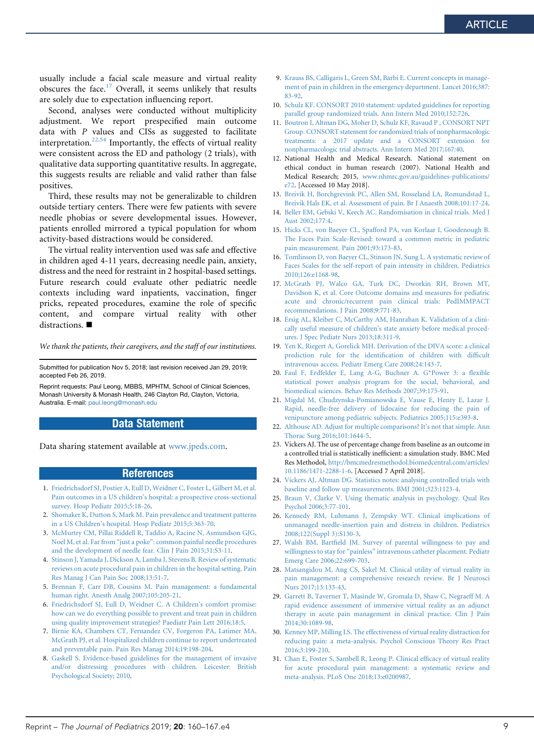usually include a facial scale measure and virtual reality obscures the face.<sup>17</sup> Overall, it seems unlikely that results are solely due to expectation influencing report.

Second, analyses were conducted without multiplicity adjustment. We report prespecified main outcome data with P values and CISs as suggested to facilitate interpretation.22,54 Importantly, the effects of virtual reality were consistent across the ED and pathology (2 trials), with qualitative data supporting quantitative results. In aggregate, this suggests results are reliable and valid rather than false positives.

Third, these results may not be generalizable to children outside tertiary centers. There were few patients with severe needle phobias or severe developmental issues. However, patients enrolled mirrored a typical population for whom activity-based distractions would be considered.

The virtual reality intervention used was safe and effective in children aged 4-11 years, decreasing needle pain, anxiety, distress and the need for restraint in 2 hospital-based settings. Future research could evaluate other pediatric needle contexts including ward inpatients, vaccination, finger pricks, repeated procedures, examine the role of specific content, and compare virtual reality with other distractions.  $\blacksquare$ 

We thank the patients, their caregivers, and the staff of our institutions.

Submitted for publication Nov 5, 2018; last revision received Jan 29, 2019; accepted Feb 26, 2019.

Reprint requests: Paul Leong, MBBS, MPHTM, School of Clinical Sciences, Monash University & Monash Health, 246 Clayton Rd, Clayton, Victoria, Australia. E-mail: [paul.leong@monash.edu](mailto:paul.leong@monash.edu)

#### Data Statement

Data sharing statement available at [www.jpeds.com](http://www.jpeds.com/).

#### References

- 1. Friedrichsdorf SJ, Postier A, Eull D, Weidner C, Foster L, Gilbert M, et al. Pain outcomes in a US children's hospital: a prospective cross-sectional survey. Hosp Pediatr 2015;5:18-26.
- 2. Shomaker K, Dutton S, Mark M. Pain prevalence and treatment patterns in a US Children's hospital. Hosp Pediatr 2015;5:363-70.
- 3. McMurtry CM, Pillai Riddell R, Taddio A, Racine N, Asmundson GJG, Noel M, et al. Far from "just a poke": common painful needle procedures and the development of needle fear. Clin J Pain 2015;31:S3-11.
- 4. Stinson J, Yamada J, Dickson A, Lamba J, Stevens B. Review of systematic reviews on acute procedural pain in children in the hospital setting. Pain Res Manag J Can Pain Soc 2008;13:51-7.
- 5. Brennan F, Carr DB, Cousins M. Pain management: a fundamental human right. Anesth Analg 2007;105:205-21.
- 6. Friedrichsdorf SJ, Eull D, Weidner C. A Children's comfort promise: how can we do everything possible to prevent and treat pain in children using quality improvement strategies? Paediatr Pain Lett 2016;18:5.
- 7. Birnie KA, Chambers CT, Fernandez CV, Forgeron PA, Latimer MA, McGrath PJ, et al. Hospitalized children continue to report undertreated and preventable pain. Pain Res Manag 2014;19:198-204.
- 8. Gaskell S. Evidence-based guidelines for the management of invasive and/or distressing procedures with children. Leicester: British Psychological Society; 2010.
- 9. Krauss BS, Calligaris L, Green SM, Barbi E. Current concepts in management of pain in children in the emergency department. Lancet 2016;387: 83-92.
- 10. Schulz KF. CONSORT 2010 statement: updated guidelines for reporting parallel group randomized trials. Ann Intern Med 2010;152:726.
- 11. Boutron I, Altman DG, Moher D, Schulz KF, Ravaud P , CONSORT NPT Group. CONSORT statement for randomized trials of nonpharmacologic treatments: a 2017 update and a CONSORT extension nonpharmacologic trial abstracts. Ann Intern Med 2017;167:40.
- 12. National Health and Medical Research. National statement on ethical conduct in human research (2007). National Health and Medical Research; 2015, [www.nhmrc.gov.au/guidelines-publications/](http://www.nhmrc.gov.au/guidelines-publications/) e72. [Accessed 10 May 2018].
- 13. Breivik H, Borchgrevink PC, Allen SM, Rosseland LA, Romundstad L, Breivik Hals EK, et al. Assessment of pain. Br J Anaesth 2008;101:17-24.
- 14. Beller EM, Gebski V, Keech AC. Randomisation in clinical trials. Med J Aust 2002;177:4.
- 15. Hicks CL, von Baeyer CL, Spafford PA, van Korlaar I, Goodenough B. The Faces Pain Scale-Revised: toward a common metric in pediatric pain measurement. Pain 2001;93:173-83.
- 16. Tomlinson D, von Baeyer CL, Stinson JN, Sung L. A systematic review of Faces Scales for the self-report of pain intensity in children. Pediatrics 2010;126:e1168-98.
- 17. McGrath PJ, Walco GA, Turk DC, Dworkin RH, Brown MT, Davidson K, et al. Core Outcome domains and measures for pediatric acute and chronic/recurrent pain clinical trials: PedIMMPACT recommendations. J Pain 2008;9:771-83.
- 18. Ersig AL, Kleiber C, McCarthy AM, Hanrahan K. Validation of a clinically useful measure of children's state anxiety before medical procedures. J Spec Pediatr Nurs 2013;18:311-9.
- 19. Yen K, Riegert A, Gorelick MH. Derivation of the DIVA score: a clinical prediction rule for the identification of children with difficult intravenous access. Pediatr Emerg Care 2008;24:143-7.
- 20. Faul F, Erdfelder E, Lang A-G, Buchner A. G\*Power 3: a flexible statistical power analysis program for the social, behavioral, and biomedical sciences. Behav Res Methods 2007;39:175-91.
- 21. Migdal M, Chudzynska-Pomianowska E, Vause E, Henry E, Lazar J. Rapid, needle-free delivery of lidocaine for reducing the pain of venipuncture among pediatric subjects. Pediatrics 2005;115:e393-8.
- 22. Althouse AD. Adjust for multiple comparisons? It's not that simple. Ann Thorac Surg 2016;101:1644-5.
- 23. Vickers AJ. The use of percentage change from baseline as an outcome in a controlled trial is statistically inefficient: a simulation study. BMC Med Res Methodol, <http://bmcmedresmethodol.biomedcentral.com/articles/> 10.1186/1471-2288-1-6. [Accessed 7 April 2018].
- 24. Vickers AJ, Altman DG. Statistics notes: analysing controlled trials with baseline and follow up measurements. BMJ 2001;323:1123-4.
- 25. Braun V, Clarke V. Using thematic analysis in psychology. Qual Res Psychol 2006;3:77-101.
- 26. Kennedy RM, Luhmann J, Zempsky WT. Clinical implications of unmanaged needle-insertion pain and distress in children. Pediatrics 2008;122(Suppl 3):S130-3.
- 27. Walsh BM, Bartfield JM. Survey of parental willingness to pay and willingness to stay for "painless" intravenous catheter placement. Pediatr Emerg Care 2006;22:699-703.
- 28. Matsangidou M, Ang CS, Sakel M. Clinical utility of virtual reality in pain management: a comprehensive research review. Br J Neurosci Nurs 2017;13:133-43.
- 29. Garrett B, Taverner T, Masinde W, Gromala D, Shaw C, Negraeff M. A rapid evidence assessment of immersive virtual reality as an adjunct therapy in acute pain management in clinical practice. Clin J Pain 2014;30:1089-98.
- 30. Kenney MP, Milling LS. The effectiveness of virtual reality distraction for reducing pain: a meta-analysis. Psychol Conscious Theory Res Pract 2016;3:199-210.
- 31. Chan E, Foster S, Sambell R, Leong P. Clinical efficacy of virtual reality for acute procedural pain management: a systematic review and meta-analysis. PLoS One 2018;13:e0200987.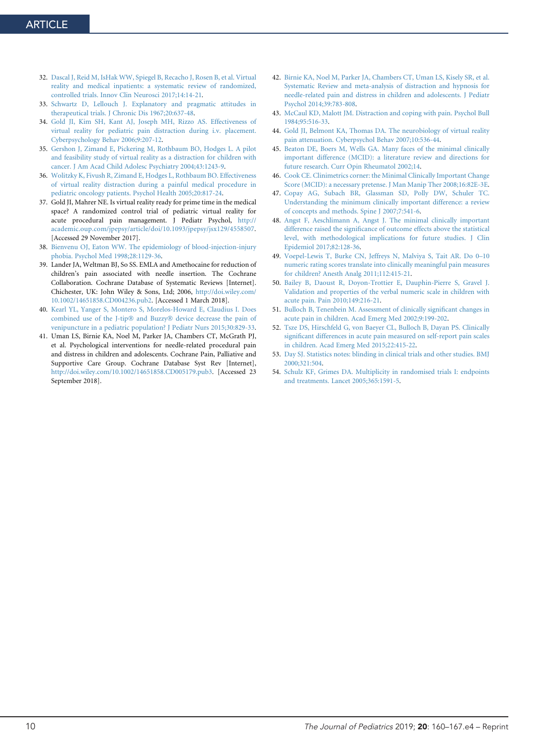- 32. Dascal J, Reid M, IsHak WW, Spiegel B, Recacho J, Rosen B, et al. Virtual reality and medical inpatients: a systematic review of randomized, controlled trials. Innov Clin Neurosci 2017;14:14-21.
- 33. Schwartz D, Lellouch J. Explanatory and pragmatic attitudes in therapeutical trials. J Chronic Dis 1967;20:637-48.
- 34. Gold JI, Kim SH, Kant AJ, Joseph MH, Rizzo AS. Effectiveness of virtual reality for pediatric pain distraction during i.v. placement. Cyberpsychology Behav 2006;9:207-12.
- 35. Gershon J, Zimand E, Pickering M, Rothbaum BO, Hodges L. A pilot and feasibility study of virtual reality as a distraction for children with cancer. J Am Acad Child Adolesc Psychiatry 2004;43:1243-9.
- 36. Wolitzky K, Fivush R, Zimand E, Hodges L, Rothbaum BO. Effectiveness of virtual reality distraction during a painful medical procedure in pediatric oncology patients. Psychol Health 2005;20:817-24.
- 37. Gold JI, Mahrer NE. Is virtual reality ready for prime time in the medical space? A randomized control trial of pediatric virtual reality for acute procedural pain management. J Pediatr Psychol, http:// academic.oup.com/jpepsy/article/doi/10.1093/jpepsy/jsx129/4558507. [Accessed 29 November 2017].
- 38. Bienvenu OJ, Eaton WW. The epidemiology of blood-injection-injury phobia. Psychol Med 1998;28:1129-36.
- 39. Lander JA, Weltman BJ, So SS. EMLA and Amethocaine for reduction of children's pain associated with needle insertion. The Cochrane Collaboration. Cochrane Database of Systematic Reviews [Internet]. Chichester, UK: John Wiley & Sons, Ltd; 2006, [http://doi.wiley.com](http://doi.wiley.com/)/ 10.1002/14651858.CD004236.pub2. [Accessed 1 March 2018].
- 40. Kearl YL, Yanger S, Montero S, Morelos-Howard E, Claudius I. Does combined use of the J-tip® and Buzzy® device decrease the pain of venipuncture in a pediatric population? J Pediatr Nurs 2015;30:829-33.
- 41. Uman LS, Birnie KA, Noel M, Parker JA, Chambers CT, McGrath PJ, et al. Psychological interventions for needle-related procedural pain and distress in children and adolescents. Cochrane Pain, Palliative and Supportive Care Group. Cochrane Database Syst Rev [Internet], <http://doi.wiley.com/10.1002/14651858.CD005179.pub3>. [Accessed 23 September 2018].
- 42. Birnie KA, Noel M, Parker JA, Chambers CT, Uman LS, Kisely SR, et al. Systematic Review and meta-analysis of distraction and hypnosis for needle-related pain and distress in children and adolescents. J Pediatr Psychol 2014;39:783-808.
- 43. McCaul KD, Malott JM. Distraction and coping with pain. Psychol Bull 1984;95:516-33.
- 44. Gold JI, Belmont KA, Thomas DA. The neurobiology of virtual reality pain attenuation. Cyberpsychol Behav 2007;10:536-44.
- 45. Beaton DE, Boers M, Wells GA. Many faces of the minimal clinically important difference (MCID): a literature review and directions for future research. Curr Opin Rheumatol 2002;14.
- 46. Cook CE. Clinimetrics corner: the Minimal Clinically Important Change Score (MCID): a necessary pretense. J Man Manip Ther 2008;16:82E-3E.
- 47. Copay AG, Subach BR, Glassman SD, Polly DW, Schuler TC. Understanding the minimum clinically important difference: a review of concepts and methods. Spine J 2007;7:541-6.
- 48. Angst F, Aeschlimann A, Angst J. The minimal clinically important difference raised the significance of outcome effects above the statistical level, with methodological implications for future studies. J Clin Epidemiol 2017;82:128-36.
- 49. Voepel-Lewis T, Burke CN, Jeffreys N, Malviya S, Tait AR. Do 0–10 numeric rating scores translate into clinically meaningful pain measures for children? Anesth Analg 2011;112:415-21.
- 50. Bailey B, Daoust R, Doyon-Trottier E, Dauphin-Pierre S, Gravel J. Validation and properties of the verbal numeric scale in children with acute pain. Pain 2010;149:216-21.
- 51. Bulloch B, Tenenbein M. Assessment of clinically significant changes in acute pain in children. Acad Emerg Med 2002;9:199-202.
- 52. Tsze DS, Hirschfeld G, von Baeyer CL, Bulloch B, Dayan PS. Clinically significant differences in acute pain measured on self-report pain scales in children. Acad Emerg Med 2015;22:415-22.
- 53. Day SJ. Statistics notes: blinding in clinical trials and other studies. BMJ 2000;321:504.
- 54. Schulz KF, Grimes DA. Multiplicity in randomised trials I: endpoints and treatments. Lancet 2005;365:1591-5.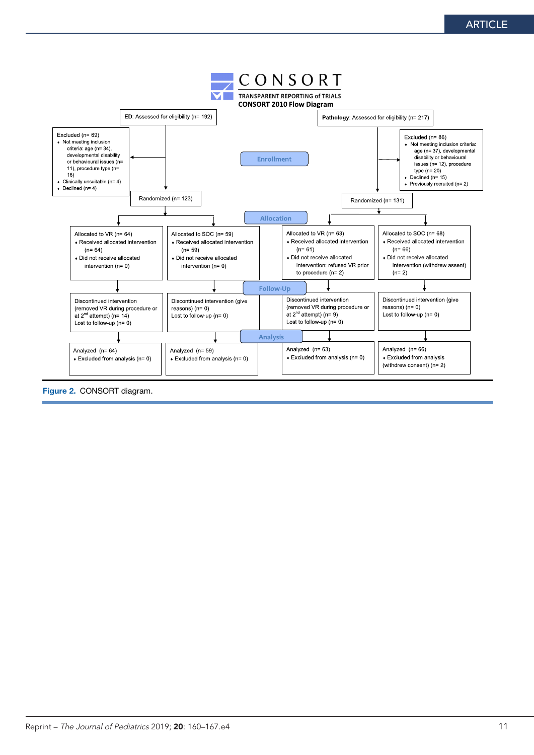

Figure 2. CONSORT diagram.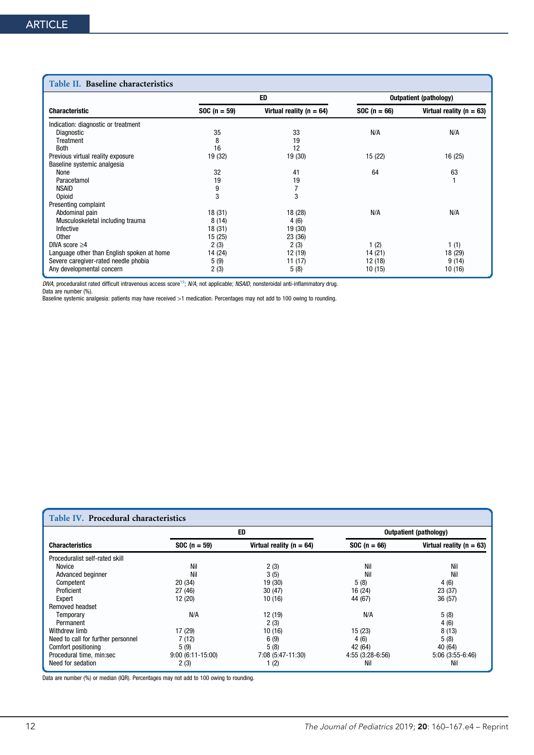#### Table II. Baseline characteristics

| l'able II. Baseline characteristics        |               |                                            |               |                              |
|--------------------------------------------|---------------|--------------------------------------------|---------------|------------------------------|
|                                            |               | <b>ED</b><br><b>Outpatient (pathology)</b> |               |                              |
| <b>Characteristic</b>                      | $SOC(n = 59)$ | Virtual reality ( $n = 64$ )               | $SOC(n = 66)$ | Virtual reality ( $n = 63$ ) |
| Indication: diagnostic or treatment        |               |                                            |               |                              |
| Diagnostic                                 | 35            | 33                                         | N/A           | N/A                          |
| Treatment                                  | 8             | 19                                         |               |                              |
| <b>Both</b>                                | 16            | 12                                         |               |                              |
| Previous virtual reality exposure          | 19 (32)       | 19 (30)                                    | 15 (22)       | 16 (25)                      |
| Baseline systemic analgesia                |               |                                            |               |                              |
| None                                       | 32            | 41                                         | 64            | 63                           |
| Paracetamol                                | 19            | 19                                         |               |                              |
| <b>NSAID</b>                               | 9             | 7                                          |               |                              |
| Opioid                                     | 3             | 3                                          |               |                              |
| Presenting complaint                       |               |                                            |               |                              |
| Abdominal pain                             | 18(31)        | 18 (28)                                    | N/A           | N/A                          |
| Musculoskeletal including trauma           | 8(14)         | 4(6)                                       |               |                              |
| Infective                                  | 18(31)        | 19 (30)                                    |               |                              |
| Other                                      | 15 (25)       | 23 (36)                                    |               |                              |
| DIVA score $\geq 4$                        | 2(3)          | 2(3)                                       | 1(2)          | 1(1)                         |
| Language other than English spoken at home | 14 (24)       | 12 (19)                                    | 14 (21)       | 18 (29)                      |
| Severe caregiver-rated needle phobia       | 5(9)          | 11 (17)                                    | 12 (18)       | 9(14)                        |
| Any developmental concern                  | 2(3)          | 5(8)                                       | 10(15)        | 10(16)                       |

*DIVA*, proceduralist rated difficult intravenous access score<sup>19</sup>; *N/A,* not applicable; *NSAID,* nonsteroidal anti-inflammatory drug.<br>Data are number (%).<br>Baseline systemic analgesia: patients may have received >1 medic

| Table IV. Procedural characteristics |                    |                              |                   |                              |
|--------------------------------------|--------------------|------------------------------|-------------------|------------------------------|
|                                      |                    | ED                           |                   | Outpatient (pathology)       |
| <b>Characteristics</b>               | $SOC (n = 59)$     | Virtual reality ( $n = 64$ ) | $SOC(n = 66)$     | Virtual reality ( $n = 63$ ) |
| Proceduralist self-rated skill       |                    |                              |                   |                              |
| Novice                               | Nil                | 2(3)                         | Nil               | Nil                          |
| Advanced beginner                    | Nil                | 3(5)                         | Nil               | Nil                          |
| Competent                            | 20(34)             | 19 (30)                      | 5(8)              | 4 (6)                        |
| Proficient                           | 27(46)             | 30(47)                       | 16 (24)           | 23(37)                       |
| Expert                               | 12 (20)            | 10(16)                       | 44 (67)           | 36(57)                       |
| Removed headset                      |                    |                              |                   |                              |
| Temporary                            | N/A                | 12 (19)                      | N/A               | 5(8)                         |
| Permanent                            |                    | 2(3)                         |                   | 4(6)                         |
| Withdrew limb                        | 17 (29)            | 10(16)                       | 15(23)            | 8(13)                        |
| Need to call for further personnel   | 7(12)              | 6(9)                         | 4(6)              | 5(8)                         |
| Comfort positioning                  | 5(9)               | 5(8)                         | 42 (64)           | 40 (64)                      |
| Procedural time, min:sec             | $9:00(6:11-15:00)$ | 7:08 (5:47-11:30)            | $4:55(3:28-6:56)$ | $5:06(3:55-6:46)$            |
| Need for sedation                    | 2(3)               | 1 (2)                        | Nil               | Nil                          |

Data are number (%) or median (IQR). Percentages may not add to 100 owing to rounding.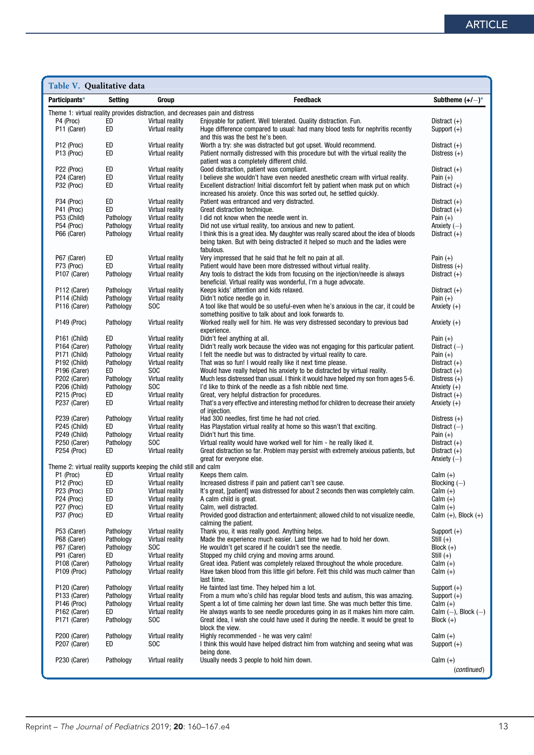| Table V. Qualitative data                |                        |                                                                    |                                                                                                                                                                |                                        |
|------------------------------------------|------------------------|--------------------------------------------------------------------|----------------------------------------------------------------------------------------------------------------------------------------------------------------|----------------------------------------|
| Participants*                            | Setting                | Group                                                              | <b>Feedback</b>                                                                                                                                                | Subtheme $(+/-)^*$                     |
|                                          |                        |                                                                    | Theme 1: virtual reality provides distraction, and decreases pain and distress                                                                                 |                                        |
| P4 (Proc)                                | ED                     | Virtual reality                                                    | Enjoyable for patient. Well tolerated. Quality distraction. Fun.                                                                                               | Distract $(+)$                         |
| P11 (Carer)                              | ED                     | Virtual reality                                                    | Huge difference compared to usual: had many blood tests for nephritis recently                                                                                 | Support $(+)$                          |
| P <sub>12</sub> (Proc)                   | ED                     | Virtual reality                                                    | and this was the best he's been.<br>Worth a try: she was distracted but got upset. Would recommend.                                                            | Distract $(+)$                         |
| P <sub>13</sub> (Proc)                   | ED                     | Virtual reality                                                    | Patient normally distressed with this procedure but with the virtual reality the                                                                               | Distress $(+)$                         |
|                                          |                        |                                                                    | patient was a completely different child.                                                                                                                      |                                        |
| P22 (Proc)                               | ED                     | Virtual reality                                                    | Good distraction, patient was compliant.                                                                                                                       | Distract $(+)$                         |
| P24 (Carer)                              | ED                     | Virtual reality                                                    | I believe she wouldn't have even needed anesthetic cream with virtual reality.                                                                                 | Pain $(+)$                             |
| P32 (Proc)                               | ED                     | Virtual reality                                                    | Excellent distraction! Initial discomfort felt by patient when mask put on which<br>increased his anxiety. Once this was sorted out, he settled quickly.       | Distract $(+)$                         |
| P34 (Proc)                               | ED                     | Virtual reality                                                    | Patient was entranced and very distracted.                                                                                                                     | Distract $(+)$                         |
| P41 (Proc)                               | ED                     | Virtual reality                                                    | Great distraction technique.                                                                                                                                   | Distract $(+)$                         |
| P53 (Child)                              | Pathology              | Virtual reality                                                    | I did not know when the needle went in.                                                                                                                        | Pain $(+)$                             |
| P54 (Proc)                               | Pathology              | Virtual reality                                                    | Did not use virtual reality, too anxious and new to patient.                                                                                                   | Anxiety $(-)$                          |
| P66 (Carer)                              | Pathology              | Virtual reality                                                    | I think this is a great idea. My daughter was really scared about the idea of bloods                                                                           | Distract $(+)$                         |
|                                          |                        |                                                                    | being taken. But with being distracted it helped so much and the ladies were<br>fabulous.                                                                      |                                        |
| P67 (Carer)                              | ED                     | Virtual reality                                                    | Very impressed that he said that he felt no pain at all.                                                                                                       | Pain $(+)$                             |
| P73 (Proc)                               | ED                     | Virtual reality                                                    | Patient would have been more distressed without virtual reality.                                                                                               | Distress $(+)$                         |
| P <sub>107</sub> (Carer)                 | Pathology              | Virtual reality                                                    | Any tools to distract the kids from focusing on the injection/needle is always                                                                                 | Distract $(+)$                         |
|                                          |                        |                                                                    | beneficial. Virtual reality was wonderful, I'm a huge advocate.                                                                                                |                                        |
| P112 (Carer)<br>P114 (Child)             | Pathology<br>Pathology | Virtual reality<br>Virtual reality                                 | Keeps kids' attention and kids relaxed.<br>Didn't notice needle go in.                                                                                         | Distract $(+)$<br>Pain $(+)$           |
| P <sub>116</sub> (Carer)                 | Pathology              | SOC                                                                | A tool like that would be so useful-even when he's anxious in the car, it could be                                                                             | Anxiety $(+)$                          |
|                                          |                        |                                                                    | something positive to talk about and look forwards to.                                                                                                         |                                        |
| P149 (Proc)                              | Pathology              | Virtual reality                                                    | Worked really well for him. He was very distressed secondary to previous bad                                                                                   | Anxiety $(+)$                          |
|                                          |                        |                                                                    | experience.                                                                                                                                                    |                                        |
| P <sub>161</sub> (Child)                 | ED                     | Virtual reality                                                    | Didn't feel anything at all.                                                                                                                                   | Pain $(+)$                             |
| P <sub>164</sub> (Carer)<br>P171 (Child) | Pathology<br>Pathology | Virtual reality<br>Virtual reality                                 | Didn't really work because the video was not engaging for this particular patient.<br>I felt the needle but was to distracted by virtual reality to care.      | Distract $(-)$<br>Pain $(+)$           |
| P192 (Child)                             | Pathology              | Virtual reality                                                    | That was so fun! I would really like it next time please.                                                                                                      | Distract $(+)$                         |
| P <sub>196</sub> (Carer)                 | ED                     | S <sub>O</sub> C                                                   | Would have really helped his anxiety to be distracted by virtual reality.                                                                                      | Distract $(+)$                         |
| P202 (Carer)                             | Pathology              | Virtual reality                                                    | Much less distressed than usual. I think it would have helped my son from ages 5-6.                                                                            | Distress $(+)$                         |
| P206 (Child)                             | Pathology              | <b>SOC</b>                                                         | I'd like to think of the needle as a fish nibble next time.                                                                                                    | Anxiety $(+)$                          |
| P215 (Proc)                              | ED                     | Virtual reality                                                    | Great, very helpful distraction for procedures.                                                                                                                | Distract $(+)$                         |
| P237 (Carer)                             | ED                     | Virtual reality                                                    | That's a very effective and interesting method for children to decrease their anxiety<br>of injection.                                                         | Anxiety $(+)$                          |
| P239 (Carer)                             | Pathology              | Virtual reality                                                    | Had 300 needles, first time he had not cried.                                                                                                                  | Distress $(+)$                         |
| P245 (Child)                             | ED                     | Virtual reality                                                    | Has Playstation virtual reality at home so this wasn't that exciting.                                                                                          | Distract $(-)$                         |
| P249 (Child)                             | Pathology              | Virtual reality                                                    | Didn't hurt this time.                                                                                                                                         | Pain $(+)$                             |
| P250 (Carer)                             | Pathology              | SOC                                                                | Virtual reality would have worked well for him - he really liked it.                                                                                           | Distract $(+)$                         |
| P254 (Proc)                              | ED                     | Virtual reality                                                    | Great distraction so far. Problem may persist with extremely anxious patients, but<br>great for everyone else.                                                 | Distract $(+)$<br>Anxiety $(-)$        |
|                                          |                        | Theme 2: virtual reality supports keeping the child still and calm |                                                                                                                                                                |                                        |
| P1 (Proc)                                | ED                     | Virtual reality                                                    | Keeps them calm.                                                                                                                                               | Calm $(+)$                             |
| P12 (Proc)                               | ED                     | Virtual reality                                                    | Increased distress if pain and patient can't see cause.                                                                                                        | Blocking $(-)$                         |
| P <sub>23</sub> (Proc)                   | ED                     | Virtual reality                                                    | It's great, [patient] was distressed for about 2 seconds then was completely calm.                                                                             | Calm $(+)$                             |
| P <sub>24</sub> (Proc)<br>P27 (Proc)     | ED<br>ED               | Virtual reality<br>Virtual reality                                 | A calm child is great.<br>Calm, well distracted.                                                                                                               | Calm $(+)$<br>Calm $(+)$               |
| P37 (Proc)                               | ED                     | Virtual reality                                                    | Provided good distraction and entertainment; allowed child to not visualize needle,                                                                            | Calm $(+)$ , Block $(+)$               |
|                                          |                        |                                                                    | calming the patient.                                                                                                                                           |                                        |
| P53 (Carer)                              | Pathology              | Virtual reality                                                    | Thank you, it was really good. Anything helps.                                                                                                                 | Support $(+)$                          |
| P68 (Carer)                              | Pathology              | Virtual reality                                                    | Made the experience much easier. Last time we had to hold her down.                                                                                            | Still $(+)$                            |
| P87 (Carer)                              | Pathology              | SOC                                                                | He wouldn't get scared if he couldn't see the needle.<br>Stopped my child crying and moving arms around.                                                       | Block $(+)$                            |
| P91 (Carer)<br>P <sub>108</sub> (Carer)  | ED.<br>Pathology       | Virtual reality<br>Virtual reality                                 | Great idea. Patient was completely relaxed throughout the whole procedure.                                                                                     | Still $(+)$<br>Calm $(+)$              |
| P <sub>109</sub> (Proc)                  | Pathology              | Virtual reality                                                    | Have taken blood from this little girl before. Felt this child was much calmer than                                                                            | Calm $(+)$                             |
|                                          |                        |                                                                    | last time.                                                                                                                                                     |                                        |
| P <sub>120</sub> (Carer)                 | Pathology              | Virtual reality                                                    | He fainted last time. They helped him a lot.                                                                                                                   | Support $(+)$                          |
| P133 (Carer)                             | Pathology              | Virtual reality                                                    | From a mum who's child has regular blood tests and autism, this was amazing.                                                                                   | Support $(+)$                          |
| P146 (Proc)<br>P <sub>162</sub> (Carer)  | Pathology<br>ED        | Virtual reality<br>Virtual reality                                 | Spent a lot of time calming her down last time. She was much better this time.<br>He always wants to see needle procedures going in as it makes him more calm. | Calm $(+)$<br>Calm $(-)$ , Block $(-)$ |
| P <sub>171</sub> (Carer)                 | Pathology              | <b>SOC</b>                                                         | Great idea, I wish she could have used it during the needle. It would be great to                                                                              | $Block (+)$                            |
|                                          |                        |                                                                    | block the view.                                                                                                                                                |                                        |
| P200 (Carer)                             | Pathology              | Virtual reality                                                    | Highly recommended - he was very calm!                                                                                                                         | Calm $(+)$                             |
| P207 (Carer)                             | ED                     | SOC                                                                | I think this would have helped distract him from watching and seeing what was                                                                                  | Support $(+)$                          |
| P230 (Carer)                             | Pathology              | Virtual reality                                                    | being done.<br>Usually needs 3 people to hold him down.                                                                                                        | Calm $(+)$                             |
|                                          |                        |                                                                    |                                                                                                                                                                | (continued)                            |
|                                          |                        |                                                                    |                                                                                                                                                                |                                        |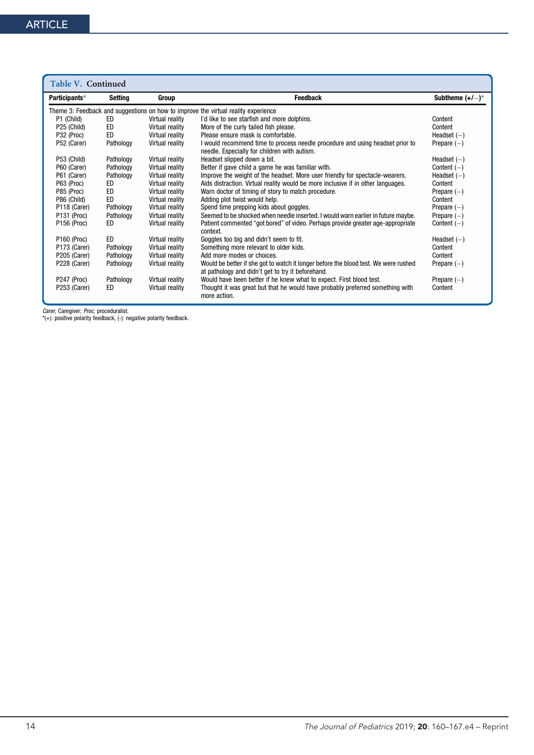| Table V. Continued      |           |                 |                                                                                                                                          |                          |
|-------------------------|-----------|-----------------|------------------------------------------------------------------------------------------------------------------------------------------|--------------------------|
| Participants*           | Setting   | Group           | <b>Feedback</b>                                                                                                                          | Subtheme $(+/-)^*$       |
|                         |           |                 | Theme 3: Feedback and suggestions on how to improve the virtual reality experience                                                       |                          |
| P1 (Child)              | ED        | Virtual reality | I'd like to see starfish and more dolphins.                                                                                              | Content                  |
| P25 (Child)             | ED        | Virtual reality | More of the curly tailed fish please.                                                                                                    | Content                  |
| P32 (Proc)              | ED.       | Virtual reality | Please ensure mask is comfortable.                                                                                                       | Headset $(-)$            |
| P52 (Carer)             | Pathology | Virtual reality | I would recommend time to process needle procedure and using headset prior to                                                            | Prepare $(-)$            |
|                         |           |                 | needle. Especially for children with autism.                                                                                             |                          |
| P53 (Child)             | Pathology | Virtual reality | Headset slipped down a bit.                                                                                                              | Headset $(-)$            |
| P60 (Carer)             | Pathology | Virtual reality | Better if gave child a game he was familiar with.                                                                                        | Content $(-)$            |
| P61 (Carer)             | Pathology | Virtual reality | Improve the weight of the headset. More user friendly for spectacle-wearers.                                                             | Headset $(-)$            |
| P63 (Proc)              | ED        | Virtual reality | Aids distraction. Virtual reality would be more inclusive if in other languages.                                                         | Content                  |
| P85 (Proc)              | ED        | Virtual reality | Warn doctor of timing of story to match procedure.                                                                                       | Prepare $(-)$            |
| P86 (Child)             | ED        | Virtual reality | Adding plot twist would help.                                                                                                            | Content                  |
| P118 (Carer)            | Pathology | Virtual reality | Spend time prepping kids about goggles.                                                                                                  | Prepare $(-)$            |
| P131 (Proc)             | Pathology | Virtual reality | Seemed to be shocked when needle inserted. I would warn earlier in future maybe.                                                         | Prepare $(-)$            |
| P <sub>156</sub> (Proc) | ED        | Virtual reality | Patient commented "got bored" of video. Perhaps provide greater age-appropriate                                                          | Content $(-)$            |
|                         | ED.       |                 | context.                                                                                                                                 |                          |
| P <sub>160</sub> (Proc) |           | Virtual reality | Goggles too big and didn't seem to fit.                                                                                                  | Headset $(-)$<br>Content |
| P173 (Carer)            | Pathology | Virtual reality | Something more relevant to older kids.                                                                                                   |                          |
| P205 (Carer)            | Pathology | Virtual reality | Add more modes or choices.                                                                                                               | Content                  |
| P228 (Carer)            | Pathology | Virtual reality | Would be better if she got to watch it longer before the blood test. We were rushed<br>at pathology and didn't get to try it beforehand. | Prepare $(-)$            |
| P247 (Proc)             | Pathology | Virtual reality | Would have been better if he knew what to expect. First blood test.                                                                      | Prepare $(-)$            |
| P253 (Carer)            | ED        | Virtual reality | Thought it was great but that he would have probably preferred something with<br>more action.                                            | Content                  |

*Carer*, Caregiver; Proc, proceduralist.<br>\*(+): positive polarity feedback, (-): negative polarity feedback.